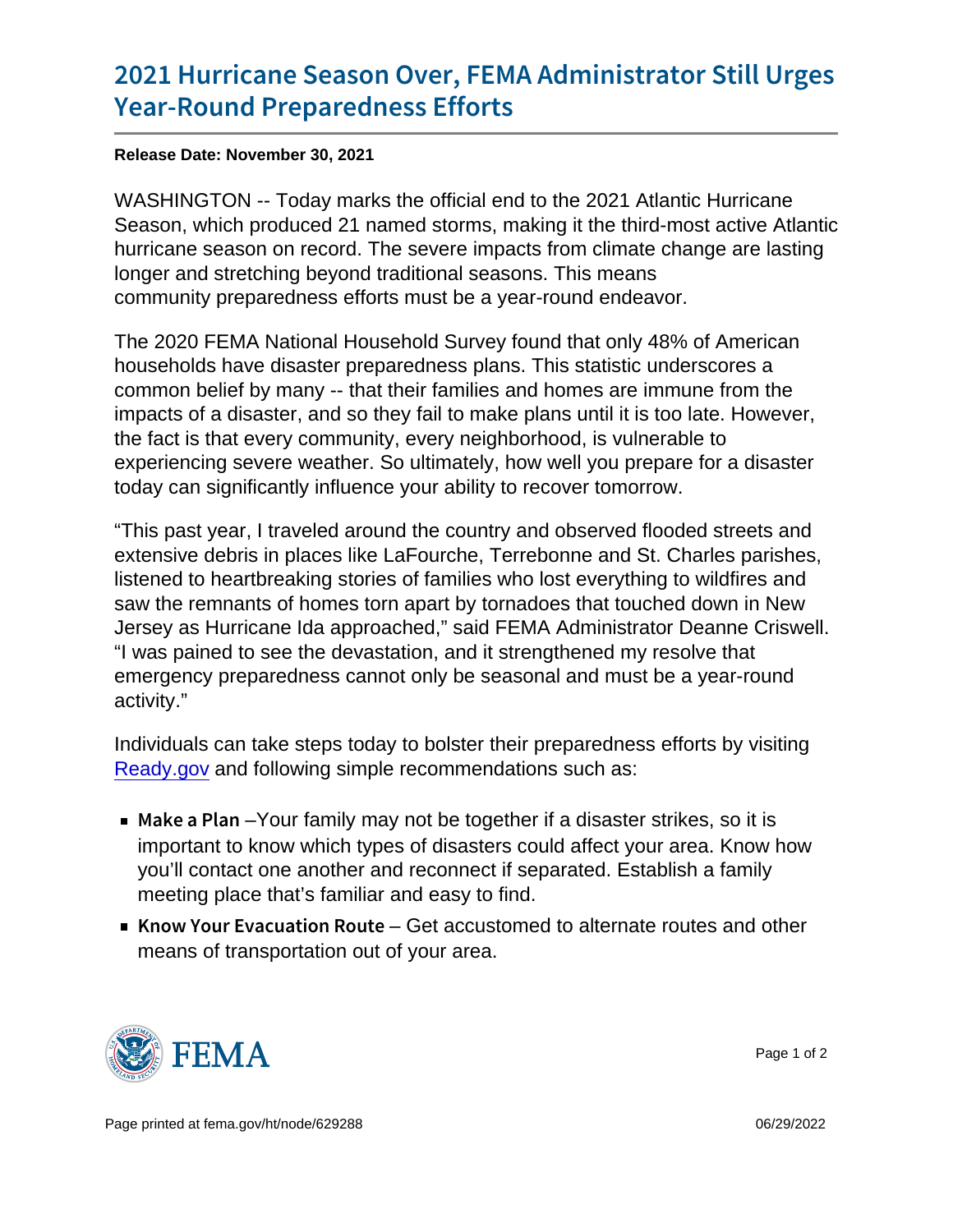## [2021 Hurricane Season Over, FEMA](https://www.fema.gov/press-release/20211130/2021-hurricane-season-over-fema-administrator-still-urges-year-round) Admin [Year-Round Prepare](https://www.fema.gov/press-release/20211130/2021-hurricane-season-over-fema-administrator-still-urges-year-round)dness Efforts

Release Date: November 30, 2021

WASHINGTON -- Today marks the official end to the 2021 Atlantic Hurricane Season, which produced 21 named storms, making it the third-most active Atlantic hurricane season on record. The severe impacts from climate change are lasting longer and stretching beyond traditional seasons. This means community preparedness efforts must be a year-round endeavor.

The 2020 FEMA National Household Survey found that only 48% of American households have disaster preparedness plans. This statistic underscores a common belief by many -- that their families and homes are immune from the impacts of a disaster, and so they fail to make plans until it is too late. However, the fact is that every community, every neighborhood, is vulnerable to experiencing severe weather. So ultimately, how well you prepare for a disaster today can significantly influence your ability to recover tomorrow.

"This past year, I traveled around the country and observed flooded streets and extensive debris in places like LaFourche, Terrebonne and St. Charles parishes, listened to heartbreaking stories of families who lost everything to wildfires and saw the remnants of homes torn apart by tornadoes that touched down in New Jersey as Hurricane Ida approached," said FEMA Administrator Deanne Criswell. "I was pained to see the devastation, and it strengthened my resolve that emergency preparedness cannot only be seasonal and must be a year-round activity."

Individuals can take steps today to bolster their preparedness efforts by visiting [Ready.gov](https://www.ready.gov/) and following simple recommendations such as:

- $\blacksquare$  Make a -PY barm family may not be together if a disaster strikes, so it is important to know which types of disasters could affect your area. Know how you'll contact one another and reconnect if separated. Establish a family meeting place that's familiar and easy to find.
- Know Your EvacuatGetracoRustom the deternate routes and other means of transportation out of your area.



Page 1 of 2

Page printed at [fema.gov/ht/node/629288](https://www.fema.gov/ht/node/629288) 06/29/2022